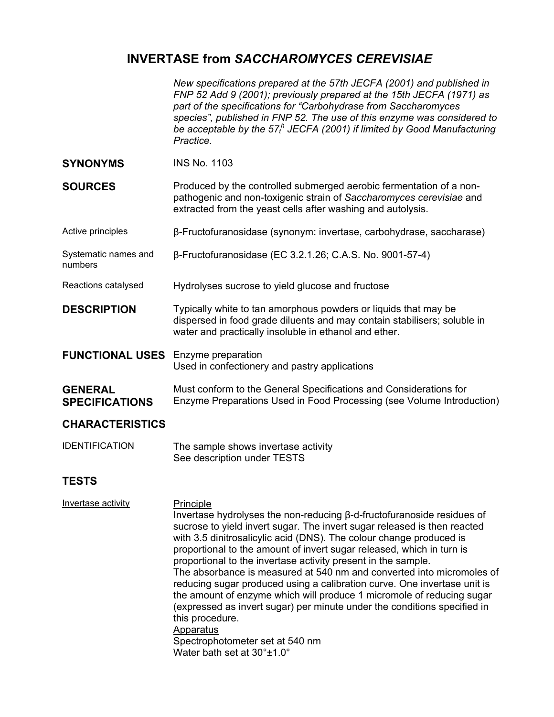# **INVERTASE from** *SACCHAROMYCES CEREVISIAE*

|                                         | New specifications prepared at the 57th JECFA (2001) and published in<br>FNP 52 Add 9 (2001); previously prepared at the 15th JECFA (1971) as<br>part of the specifications for "Carbohydrase from Saccharomyces<br>species", published in FNP 52. The use of this enzyme was considered to<br>be acceptable by the $57th$ JECFA (2001) if limited by Good Manufacturing<br>Practice.                                                                                                                                                                                                                                                                                                                                                                                |  |  |  |  |
|-----------------------------------------|----------------------------------------------------------------------------------------------------------------------------------------------------------------------------------------------------------------------------------------------------------------------------------------------------------------------------------------------------------------------------------------------------------------------------------------------------------------------------------------------------------------------------------------------------------------------------------------------------------------------------------------------------------------------------------------------------------------------------------------------------------------------|--|--|--|--|
| <b>SYNONYMS</b>                         | <b>INS No. 1103</b>                                                                                                                                                                                                                                                                                                                                                                                                                                                                                                                                                                                                                                                                                                                                                  |  |  |  |  |
| <b>SOURCES</b>                          | Produced by the controlled submerged aerobic fermentation of a non-<br>pathogenic and non-toxigenic strain of Saccharomyces cerevisiae and<br>extracted from the yeast cells after washing and autolysis.                                                                                                                                                                                                                                                                                                                                                                                                                                                                                                                                                            |  |  |  |  |
| Active principles                       | β-Fructofuranosidase (synonym: invertase, carbohydrase, saccharase)                                                                                                                                                                                                                                                                                                                                                                                                                                                                                                                                                                                                                                                                                                  |  |  |  |  |
| Systematic names and<br>numbers         | β-Fructofuranosidase (EC 3.2.1.26; C.A.S. No. 9001-57-4)                                                                                                                                                                                                                                                                                                                                                                                                                                                                                                                                                                                                                                                                                                             |  |  |  |  |
| Reactions catalysed                     | Hydrolyses sucrose to yield glucose and fructose                                                                                                                                                                                                                                                                                                                                                                                                                                                                                                                                                                                                                                                                                                                     |  |  |  |  |
| <b>DESCRIPTION</b>                      | Typically white to tan amorphous powders or liquids that may be<br>dispersed in food grade diluents and may contain stabilisers; soluble in<br>water and practically insoluble in ethanol and ether.                                                                                                                                                                                                                                                                                                                                                                                                                                                                                                                                                                 |  |  |  |  |
| <b>FUNCTIONAL USES</b>                  | Enzyme preparation<br>Used in confectionery and pastry applications                                                                                                                                                                                                                                                                                                                                                                                                                                                                                                                                                                                                                                                                                                  |  |  |  |  |
| <b>GENERAL</b><br><b>SPECIFICATIONS</b> | Must conform to the General Specifications and Considerations for<br>Enzyme Preparations Used in Food Processing (see Volume Introduction)                                                                                                                                                                                                                                                                                                                                                                                                                                                                                                                                                                                                                           |  |  |  |  |
| <b>CHARACTERISTICS</b>                  |                                                                                                                                                                                                                                                                                                                                                                                                                                                                                                                                                                                                                                                                                                                                                                      |  |  |  |  |
| <b>IDENTIFICATION</b>                   | The sample shows invertase activity<br>See description under TESTS                                                                                                                                                                                                                                                                                                                                                                                                                                                                                                                                                                                                                                                                                                   |  |  |  |  |
| TESTS                                   |                                                                                                                                                                                                                                                                                                                                                                                                                                                                                                                                                                                                                                                                                                                                                                      |  |  |  |  |
| Invertase activity                      | Principle<br>Invertase hydrolyses the non-reducing $\beta$ -d-fructofuranoside residues of<br>sucrose to yield invert sugar. The invert sugar released is then reacted<br>with 3.5 dinitrosalicylic acid (DNS). The colour change produced is<br>proportional to the amount of invert sugar released, which in turn is<br>proportional to the invertase activity present in the sample.<br>The absorbance is measured at 540 nm and converted into micromoles of<br>reducing sugar produced using a calibration curve. One invertase unit is<br>the amount of enzyme which will produce 1 micromole of reducing sugar<br>(expressed as invert sugar) per minute under the conditions specified in<br>this procedure.<br>Apparatus<br>Spectrophotometer set at 540 nm |  |  |  |  |

Water bath set at 30°±1.0°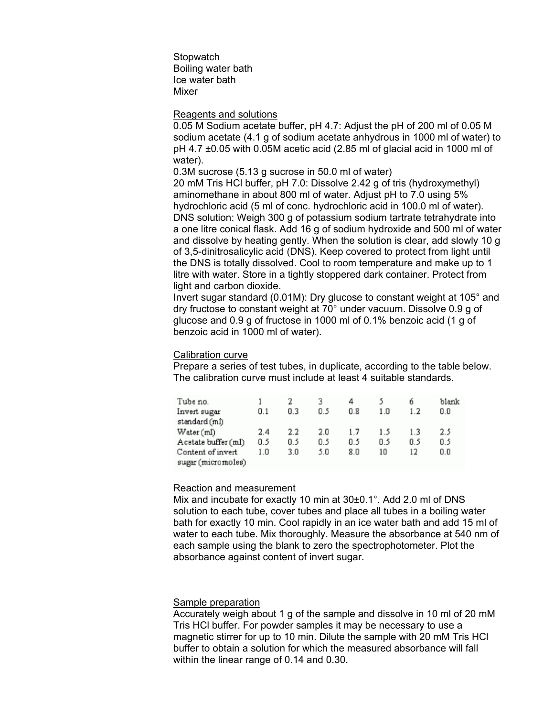**Stopwatch** Boiling water bath Ice water bath Mixer

## Reagents and solutions

0.05 M Sodium acetate buffer, pH 4.7: Adjust the pH of 200 ml of 0.05 M sodium acetate (4.1 g of sodium acetate anhydrous in 1000 ml of water) to pH 4.7 ±0.05 with 0.05M acetic acid (2.85 ml of glacial acid in 1000 ml of water).

0.3M sucrose (5.13 g sucrose in 50.0 ml of water)

20 mM Tris HCl buffer, pH 7.0: Dissolve 2.42 g of tris (hydroxymethyl) aminomethane in about 800 ml of water. Adjust pH to 7.0 using 5% hydrochloric acid (5 ml of conc. hydrochloric acid in 100.0 ml of water). DNS solution: Weigh 300 g of potassium sodium tartrate tetrahydrate into a one litre conical flask. Add 16 g of sodium hydroxide and 500 ml of water and dissolve by heating gently. When the solution is clear, add slowly 10 g of 3,5-dinitrosalicylic acid (DNS). Keep covered to protect from light until the DNS is totally dissolved. Cool to room temperature and make up to 1 litre with water. Store in a tightly stoppered dark container. Protect from light and carbon dioxide.

Invert sugar standard (0.01M): Dry glucose to constant weight at 105° and dry fructose to constant weight at 70° under vacuum. Dissolve 0.9 g of glucose and 0.9 g of fructose in 1000 ml of 0.1% benzoic acid (1 g of benzoic acid in 1000 ml of water).

# Calibration curve

Prepare a series of test tubes, in duplicate, according to the table below. The calibration curve must include at least 4 suitable standards.

| Tube no.<br>Invert sugar<br>standard (ml) | 0.1 | 0.3 | 3<br>0.5 | 4<br>0.8 | 1.0 | б<br>1.2       | blank<br>0.0 |
|-------------------------------------------|-----|-----|----------|----------|-----|----------------|--------------|
| Water (ml)                                | 2.4 | 2.2 | 2.0      | 1.7      | 1.5 | 1 <sup>3</sup> | 2.5          |
| Acetate buffer (ml)                       | 0.5 | 0.5 | 0.5      | 0.5      | 0.5 | 0.5            | 0.5          |
| Content of invert<br>sugar (micromoles)   | 1.0 | 3.0 | 5.0      | 8.0      | 10  | 12             | 0.0          |

# Reaction and measurement

Mix and incubate for exactly 10 min at 30±0.1°. Add 2.0 ml of DNS solution to each tube, cover tubes and place all tubes in a boiling water bath for exactly 10 min. Cool rapidly in an ice water bath and add 15 ml of water to each tube. Mix thoroughly. Measure the absorbance at 540 nm of each sample using the blank to zero the spectrophotometer. Plot the absorbance against content of invert sugar.

# Sample preparation

Accurately weigh about 1 g of the sample and dissolve in 10 ml of 20 mM Tris HCl buffer. For powder samples it may be necessary to use a magnetic stirrer for up to 10 min. Dilute the sample with 20 mM Tris HCl buffer to obtain a solution for which the measured absorbance will fall within the linear range of 0.14 and 0.30.